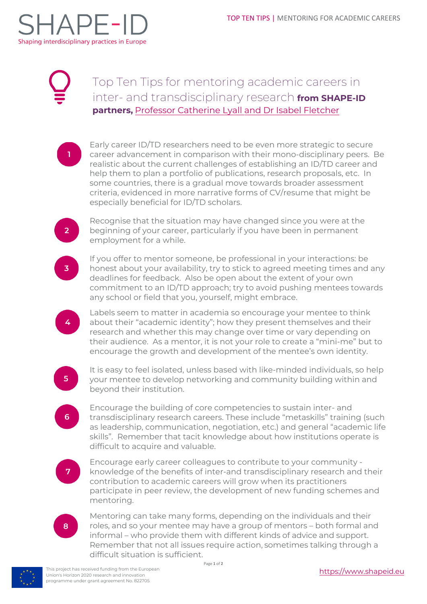

## Top Ten Tips for mentoring academic careers in inter- and transdisciplinary research **from [SHAPE-ID](#page-1-0) partners,** [Professor Catherine Lyall and Dr Isabel Fletcher](#page-1-1)

Early career ID/TD researchers need to be even more strategic to secure career advancement in comparison with their mono-disciplinary peers. Be realistic about the current challenges of establishing an ID/TD career and help them to plan a portfolio of publications, research proposals, etc. In some countries, there is a gradual move towards broader assessment criteria, evidenced in more narrative forms of CV/resume that might be especially beneficial for ID/TD scholars.

Recognise that the situation may have changed since you were at the beginning of your career, particularly if you have been in permanent employment for a while.

3

4

 $2<sup>1</sup>$ 

If you offer to mentor someone, be professional in your interactions: be honest about your availability, try to stick to agreed meeting times and any deadlines for feedback. Also be open about the extent of your own commitment to an ID/TD approach; try to avoid pushing mentees towards any school or field that you, yourself, might embrace.

Labels seem to matter in academia so encourage your mentee to think about their "academic identity"; how they present themselves and their research and whether this may change over time or vary depending on their audience. As a mentor, it is not your role to create a "mini-me" but to encourage the growth and development of the mentee's own identity.

 $5<sup>1</sup>$ 

It is easy to feel isolated, unless based with like-minded individuals, so help your mentee to develop networking and community building within and beyond their institution.

 $6<sup>1</sup>$ 

Encourage the building of core competencies to sustain inter- and transdisciplinary research careers. These include "metaskills" training (such as leadership, communication, negotiation, etc.) and general "academic life skills". Remember that tacit knowledge about how institutions operate is difficult to acquire and valuable.

Encourage early career colleagues to contribute to your community knowledge of the benefits of inter-and transdisciplinary research and their contribution to academic careers will grow when its practitioners participate in peer review, the development of new funding schemes and mentoring.



Mentoring can take many forms, depending on the individuals and their roles, and so your mentee may have a group of mentors – both formal and informal – who provide them with different kinds of advice and support. Remember that not all issues require action, sometimes talking through a difficult situation is sufficient.